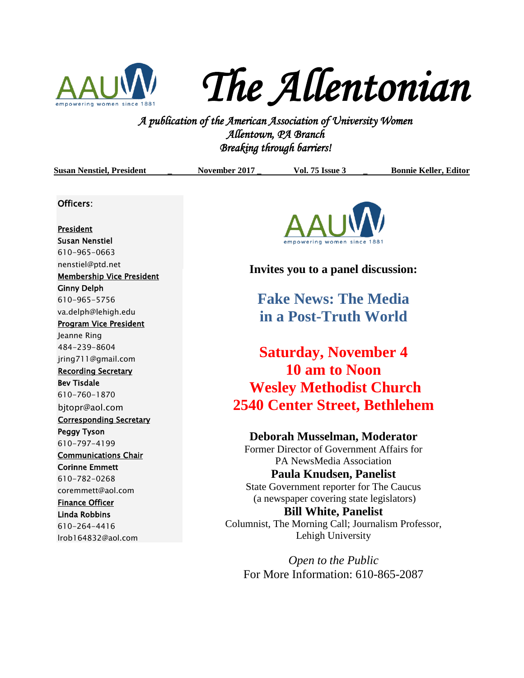

*The Allentonian* 

**A PUC FLUC I LUC 160 I LIC**<br>*A publication of the American Association of University Women*<br><sup>2</sup> *A publication of the American Association of University Women Allentown, PA Branch Breaking through barriers!* 

| <b>Susan Nenstiel, President</b> | November 2017                                                       | <b>Vol. 75 Issue 3</b>                    | <b>Bonnie Keller, Editor</b> |
|----------------------------------|---------------------------------------------------------------------|-------------------------------------------|------------------------------|
| Officers:                        |                                                                     |                                           |                              |
| <b>President</b>                 |                                                                     |                                           |                              |
| <b>Susan Nenstiel</b>            |                                                                     | empowering women since 1881               |                              |
| 610-965-0663                     |                                                                     |                                           |                              |
| nenstiel@ptd.net                 |                                                                     |                                           |                              |
| <b>Membership Vice President</b> | Invites you to a panel discussion:                                  |                                           |                              |
| <b>Ginny Delph</b>               |                                                                     |                                           |                              |
| 610-965-5756                     |                                                                     | <b>Fake News: The Media</b>               |                              |
| va.delph@lehigh.edu              | in a Post-Truth World                                               |                                           |                              |
| <b>Program Vice President</b>    |                                                                     |                                           |                              |
| Jeanne Ring                      |                                                                     |                                           |                              |
| 484-239-8604                     | <b>Saturday, November 4</b>                                         |                                           |                              |
| jring711@gmail.com               |                                                                     |                                           |                              |
| <b>Recording Secretary</b>       |                                                                     | 10 am to Noon                             |                              |
| <b>Bev Tisdale</b>               |                                                                     |                                           |                              |
| 610-760-1870                     | <b>Wesley Methodist Church</b>                                      |                                           |                              |
| bjtopr@aol.com                   |                                                                     | <b>2540 Center Street, Bethlehem</b>      |                              |
| <b>Corresponding Secretary</b>   |                                                                     |                                           |                              |
| <b>Peggy Tyson</b>               |                                                                     | Deborah Musselman, Moderator              |                              |
| 610-797-4199                     |                                                                     | Former Director of Government Affairs for |                              |
| <b>Communications Chair</b>      |                                                                     | PA NewsMedia Association                  |                              |
| <b>Corinne Emmett</b>            | Paula Knudsen, Panelist<br>State Government reporter for The Caucus |                                           |                              |
| 610-782-0268                     |                                                                     |                                           |                              |
| coremmett@aol.com                |                                                                     |                                           |                              |
| <b>Finance Officer</b>           | (a newspaper covering state legislators)                            |                                           |                              |
| <b>Linda Robbins</b>             | <b>Bill White, Panelist</b>                                         |                                           |                              |
| 610-264-4416                     | Columnist, The Morning Call; Journalism Professor,                  |                                           |                              |
| Irob164832@aol.com               | Lehigh University                                                   |                                           |                              |

*Open to the Public* For More Information: 610-865-2087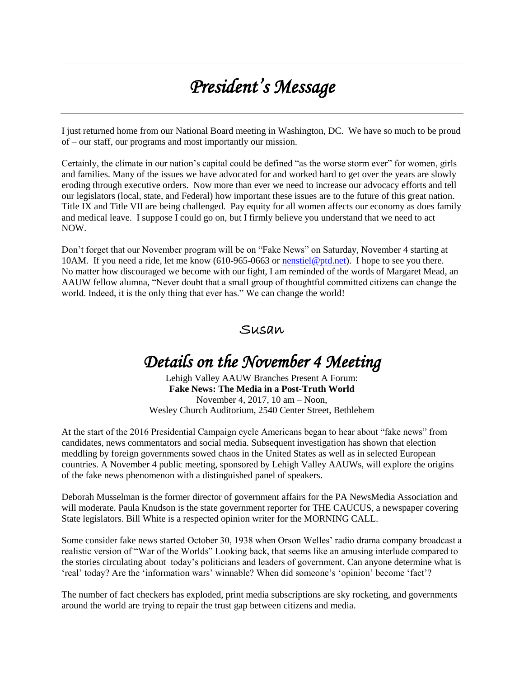# *President's Message*

I just returned home from our National Board meeting in Washington, DC. We have so much to be proud of – our staff, our programs and most importantly our mission.

Certainly, the climate in our nation's capital could be defined "as the worse storm ever" for women, girls and families. Many of the issues we have advocated for and worked hard to get over the years are slowly eroding through executive orders. Now more than ever we need to increase our advocacy efforts and tell our legislators (local, state, and Federal) how important these issues are to the future of this great nation. Title IX and Title VII are being challenged. Pay equity for all women affects our economy as does family and medical leave. I suppose I could go on, but I firmly believe you understand that we need to act NOW.

Don't forget that our November program will be on "Fake News" on Saturday, November 4 starting at 10AM. If you need a ride, let me know (610-965-0663 or [nenstiel@ptd.net\)](mailto:nenstiel@ptd.net). I hope to see you there. No matter how discouraged we become with our fight, I am reminded of the words of Margaret Mead, an AAUW fellow alumna, "Never doubt that a small group of thoughtful committed citizens can change the world. Indeed, it is the only thing that ever has." We can change the world!

### Susan

### *Details on the November 4 Meeting*

Lehigh Valley AAUW Branches Present A Forum: **Fake News: The Media in a Post-Truth World** November 4, 2017, 10 am – Noon, Wesley Church Auditorium, 2540 Center Street, Bethlehem

At the start of the 2016 Presidential Campaign cycle Americans began to hear about "fake news" from candidates, news commentators and social media. Subsequent investigation has shown that election meddling by foreign governments sowed chaos in the United States as well as in selected European countries. A November 4 public meeting, sponsored by Lehigh Valley AAUWs, will explore the origins of the fake news phenomenon with a distinguished panel of speakers.

Deborah Musselman is the former director of government affairs for the PA NewsMedia Association and will moderate. Paula Knudson is the state government reporter for THE CAUCUS, a newspaper covering State legislators. Bill White is a respected opinion writer for the MORNING CALL.

Some consider fake news started October 30, 1938 when Orson Welles' radio drama company broadcast a realistic version of "War of the Worlds" Looking back, that seems like an amusing interlude compared to the stories circulating about today's politicians and leaders of government. Can anyone determine what is 'real' today? Are the 'information wars' winnable? When did someone's 'opinion' become 'fact'?

The number of fact checkers has exploded, print media subscriptions are sky rocketing, and governments around the world are trying to repair the trust gap between citizens and media.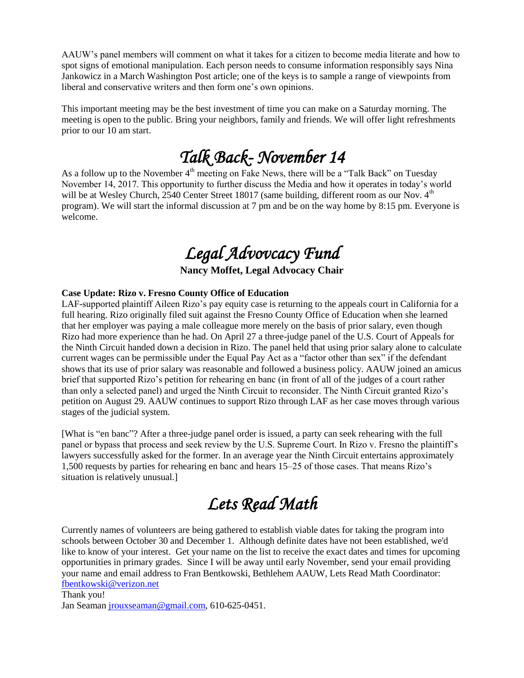AAUW's panel members will comment on what it takes for a citizen to become media literate and how to spot signs of emotional manipulation. Each person needs to consume information responsibly says Nina Jankowicz in a March Washington Post article; one of the keys is to sample a range of viewpoints from liberal and conservative writers and then form one's own opinions.

This important meeting may be the best investment of time you can make on a Saturday morning. The meeting is open to the public. Bring your neighbors, family and friends. We will offer light refreshments prior to our 10 am start.

# *Talk Back- November 14*

As a follow up to the November  $4<sup>th</sup>$  meeting on Fake News, there will be a "Talk Back" on Tuesday November 14, 2017. This opportunity to further discuss the Media and how it operates in today's world will be at Wesley Church, 2540 Center Street 18017 (same building, different room as our Nov.  $4<sup>th</sup>$ program). We will start the informal discussion at 7 pm and be on the way home by 8:15 pm. Everyone is welcome.

## *Legal Advovcacy Fund*

### **Nancy Moffet, Legal Advocacy Chair**

#### **Case Update: Rizo v. Fresno County Office of Education**

LAF-supported plaintiff Aileen Rizo's pay equity case is returning to the appeals court in California for a full hearing. Rizo originally filed suit against the Fresno County Office of Education when she learned that her employer was paying a male colleague more merely on the basis of prior salary, even though Rizo had more experience than he had. On April 27 a three-judge panel of the U.S. Court of Appeals for the Ninth Circuit handed down a decision in Rizo. The panel held that using prior salary alone to calculate current wages can be permissible under the Equal Pay Act as a "factor other than sex" if the defendant shows that its use of prior salary was reasonable and followed a business policy. AAUW joined an amicus brief that supported Rizo's petition for rehearing en banc (in front of all of the judges of a court rather than only a selected panel) and urged the Ninth Circuit to reconsider. The Ninth Circuit granted Rizo's petition on August 29. AAUW continues to support Rizo through LAF as her case moves through various stages of the judicial system.

[What is "en banc"? After a three-judge panel order is issued, a party can seek rehearing with the full panel or bypass that process and seek review by the U.S. Supreme Court. In Rizo v. Fresno the plaintiff's lawyers successfully asked for the former. In an average year the Ninth Circuit entertains approximately 1,500 requests by parties for rehearing en banc and hears 15–25 of those cases. That means Rizo's situation is relatively unusual.]

# *Lets Read Math*

Currently names of volunteers are being gathered to establish viable dates for taking the program into schools between October 30 and December 1. Although definite dates have not been established, we'd like to know of your interest. Get your name on the list to receive the exact dates and times for upcoming opportunities in primary grades. Since I will be away until early November, send your email providing your name and email address to Fran Bentkowski, Bethlehem AAUW, Lets Read Math Coordinator: [fbentkowski@verizon.net](mailto:fbentkowski@verizon.net)

Thank you! Jan Seaman [jrouxseaman@gmail.com,](mailto:jrouxseaman@gmail.com) 610-625-0451.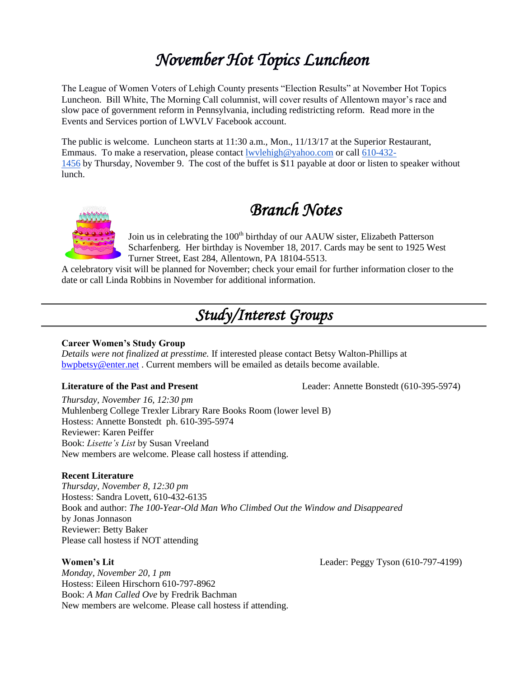# *November Hot Topics Luncheon*

The League of Women Voters of Lehigh County presents "Election Results" at November Hot Topics Luncheon. Bill White, The Morning Call columnist, will cover results of Allentown mayor's race and slow pace of government reform in Pennsylvania, including redistricting reform. Read more in the Events and Services portion of LWVLV Facebook account.

The public is welcome. Luncheon starts at 11:30 a.m., Mon., 11/13/17 at the Superior Restaurant, Emmaus. To make a reservation, please contact [lwvlehigh@yahoo.com](mailto:lwvlehigh@yahoo.com) or call [610-432-](tel:(610)%20432-1456) [1456](tel:(610)%20432-1456) by Thursday, November 9. The cost of the buffet is \$11 payable at door or listen to speaker without lunch.



*Branch Notes* 

Join us in celebrating the 100<sup>th</sup> birthday of our AAUW sister, Elizabeth Patterson Scharfenberg. Her birthday is November 18, 2017. Cards may be sent to 1925 West Turner Street, East 284, Allentown, PA 18104-5513.

A celebratory visit will be planned for November; check your email for further information closer to the date or call Linda Robbins in November for additional information.

### *Study/Interest Groups*

#### **Career Women's Study Group**

*Details were not finalized at presstime.* If interested please contact Betsy Walton-Phillips at [bwpbetsy@enter.net](mailto:bwpbetsy@enter.net) . Current members will be emailed as details become available.

**Literature of the Past and Present** Leader: Annette Bonstedt (610-395-5974)

*Thursday, November 16, 12:30 pm* Muhlenberg College Trexler Library Rare Books Room (lower level B) Hostess: Annette Bonstedt ph. 610-395-5974 Reviewer: Karen Peiffer Book: *Lisette's List* by Susan Vreeland New members are welcome. Please call hostess if attending.

#### **Recent Literature**

*Thursday, November 8, 12:30 pm* Hostess: Sandra Lovett, 610-432-6135 Book and author: *The 100-Year-Old Man Who Climbed Out the Window and Disappeared* by Jonas Jonnason Reviewer: Betty Baker Please call hostess if NOT attending

**Women's Lit** Leader: Peggy Tyson (610-797-4199)

*Monday, November 20, 1 pm* Hostess: Eileen Hirschorn 610-797-8962 Book: *A Man Called Ove* by Fredrik Bachman New members are welcome. Please call hostess if attending.